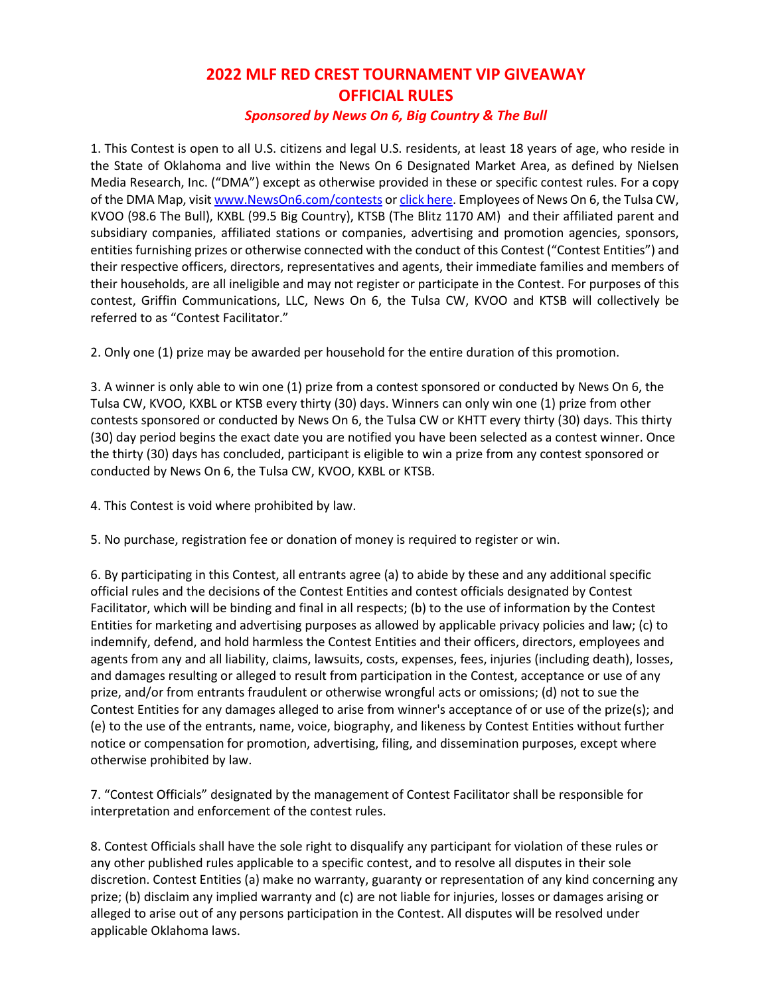## **2022 MLF RED CREST TOURNAMENT VIP GIVEAWAY OFFICIAL RULES** *Sponsored by News On 6, Big Country & The Bull*

1. This Contest is open to all U.S. citizens and legal U.S. residents, at least 18 years of age, who reside in the State of Oklahoma and live within the News On 6 Designated Market Area, as defined by Nielsen Media Research, Inc. ("DMA") except as otherwise provided in these or specific contest rules. For a copy of the DMA Map, visi[t www.NewsOn6.com/contests](http://www.newson6.com/contests) or [click here.](http://www.newson6.com/category/263065/dma-map) Employees of News On 6, the Tulsa CW, KVOO (98.6 The Bull), KXBL (99.5 Big Country), KTSB (The Blitz 1170 AM) and their affiliated parent and subsidiary companies, affiliated stations or companies, advertising and promotion agencies, sponsors, entities furnishing prizes or otherwise connected with the conduct of this Contest ("Contest Entities") and their respective officers, directors, representatives and agents, their immediate families and members of their households, are all ineligible and may not register or participate in the Contest. For purposes of this contest, Griffin Communications, LLC, News On 6, the Tulsa CW, KVOO and KTSB will collectively be referred to as "Contest Facilitator."

2. Only one (1) prize may be awarded per household for the entire duration of this promotion.

3. A winner is only able to win one (1) prize from a contest sponsored or conducted by News On 6, the Tulsa CW, KVOO, KXBL or KTSB every thirty (30) days. Winners can only win one (1) prize from other contests sponsored or conducted by News On 6, the Tulsa CW or KHTT every thirty (30) days. This thirty (30) day period begins the exact date you are notified you have been selected as a contest winner. Once the thirty (30) days has concluded, participant is eligible to win a prize from any contest sponsored or conducted by News On 6, the Tulsa CW, KVOO, KXBL or KTSB.

4. This Contest is void where prohibited by law.

5. No purchase, registration fee or donation of money is required to register or win.

6. By participating in this Contest, all entrants agree (a) to abide by these and any additional specific official rules and the decisions of the Contest Entities and contest officials designated by Contest Facilitator, which will be binding and final in all respects; (b) to the use of information by the Contest Entities for marketing and advertising purposes as allowed by applicable privacy policies and law; (c) to indemnify, defend, and hold harmless the Contest Entities and their officers, directors, employees and agents from any and all liability, claims, lawsuits, costs, expenses, fees, injuries (including death), losses, and damages resulting or alleged to result from participation in the Contest, acceptance or use of any prize, and/or from entrants fraudulent or otherwise wrongful acts or omissions; (d) not to sue the Contest Entities for any damages alleged to arise from winner's acceptance of or use of the prize(s); and (e) to the use of the entrants, name, voice, biography, and likeness by Contest Entities without further notice or compensation for promotion, advertising, filing, and dissemination purposes, except where otherwise prohibited by law.

7. "Contest Officials" designated by the management of Contest Facilitator shall be responsible for interpretation and enforcement of the contest rules.

8. Contest Officials shall have the sole right to disqualify any participant for violation of these rules or any other published rules applicable to a specific contest, and to resolve all disputes in their sole discretion. Contest Entities (a) make no warranty, guaranty or representation of any kind concerning any prize; (b) disclaim any implied warranty and (c) are not liable for injuries, losses or damages arising or alleged to arise out of any persons participation in the Contest. All disputes will be resolved under applicable Oklahoma laws.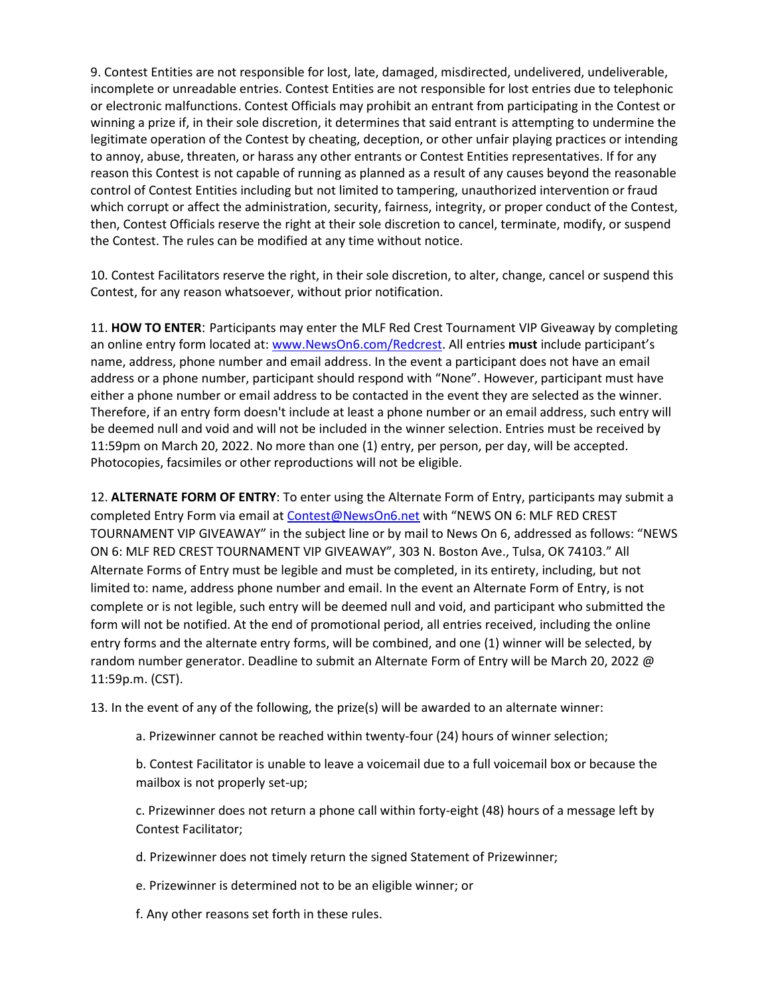9. Contest Entities are not responsible for lost, late, damaged, misdirected, undelivered, undeliverable, incomplete or unreadable entries. Contest Entities are not responsible for lost entries due to telephonic or electronic malfunctions. Contest Officials may prohibit an entrant from participating in the Contest or winning a prize if, in their sole discretion, it determines that said entrant is attempting to undermine the legitimate operation of the Contest by cheating, deception, or other unfair playing practices or intending to annoy, abuse, threaten, or harass any other entrants or Contest Entities representatives. If for any reason this Contest is not capable of running as planned as a result of any causes beyond the reasonable control of Contest Entities including but not limited to tampering, unauthorized intervention or fraud which corrupt or affect the administration, security, fairness, integrity, or proper conduct of the Contest, then, Contest Officials reserve the right at their sole discretion to cancel, terminate, modify, or suspend the Contest. The rules can be modified at any time without notice.

10. Contest Facilitators reserve the right, in their sole discretion, to alter, change, cancel or suspend this Contest, for any reason whatsoever, without prior notification.

11. **HOW TO ENTER**: Participants may enter the MLF Red Crest Tournament VIP Giveaway by completing an online entry form located at[: www.NewsOn6.com/Redcrest.](http://www.newson6.com/Redcrest) All entries **must** include participant's name, address, phone number and email address. In the event a participant does not have an email address or a phone number, participant should respond with "None". However, participant must have either a phone number or email address to be contacted in the event they are selected as the winner. Therefore, if an entry form doesn't include at least a phone number or an email address, such entry will be deemed null and void and will not be included in the winner selection. Entries must be received by 11:59pm on March 20, 2022. No more than one (1) entry, per person, per day, will be accepted. Photocopies, facsimiles or other reproductions will not be eligible.

12. **ALTERNATE FORM OF ENTRY**: To enter using the Alternate Form of Entry, participants may submit a completed Entry Form via email at [Contest@NewsOn6.net](mailto:Contest@NewsOn6.net) with "NEWS ON 6: MLF RED CREST TOURNAMENT VIP GIVEAWAY" in the subject line or by mail to News On 6, addressed as follows: "NEWS ON 6: MLF RED CREST TOURNAMENT VIP GIVEAWAY", 303 N. Boston Ave., Tulsa, OK 74103." All Alternate Forms of Entry must be legible and must be completed, in its entirety, including, but not limited to: name, address phone number and email. In the event an Alternate Form of Entry, is not complete or is not legible, such entry will be deemed null and void, and participant who submitted the form will not be notified. At the end of promotional period, all entries received, including the online entry forms and the alternate entry forms, will be combined, and one (1) winner will be selected, by random number generator. Deadline to submit an Alternate Form of Entry will be March 20, 2022 @ 11:59p.m. (CST).

13. In the event of any of the following, the prize(s) will be awarded to an alternate winner:

a. Prizewinner cannot be reached within twenty-four (24) hours of winner selection;

b. Contest Facilitator is unable to leave a voicemail due to a full voicemail box or because the mailbox is not properly set-up;

c. Prizewinner does not return a phone call within forty-eight (48) hours of a message left by Contest Facilitator;

d. Prizewinner does not timely return the signed Statement of Prizewinner;

e. Prizewinner is determined not to be an eligible winner; or

f. Any other reasons set forth in these rules.